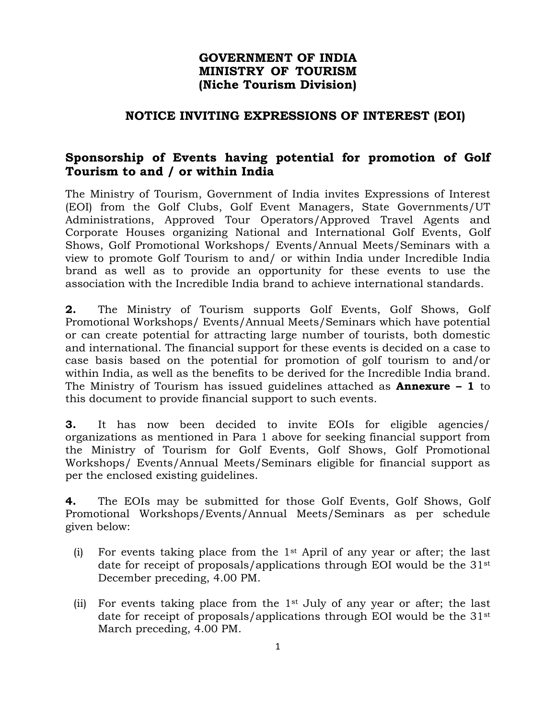## **GOVERNMENT OF INDIA MINISTRY OF TOURISM (Niche Tourism Division)**

## **NOTICE INVITING EXPRESSIONS OF INTEREST (EOI)**

# **Sponsorship of Events having potential for promotion of Golf Tourism to and / or within India**

The Ministry of Tourism, Government of India invites Expressions of Interest (EOI) from the Golf Clubs, Golf Event Managers, State Governments/UT Administrations, Approved Tour Operators/Approved Travel Agents and Corporate Houses organizing National and International Golf Events, Golf Shows, Golf Promotional Workshops/ Events/Annual Meets/Seminars with a view to promote Golf Tourism to and/ or within India under Incredible India brand as well as to provide an opportunity for these events to use the association with the Incredible India brand to achieve international standards.

**2.** The Ministry of Tourism supports Golf Events, Golf Shows, Golf Promotional Workshops/ Events/Annual Meets/Seminars which have potential or can create potential for attracting large number of tourists, both domestic and international. The financial support for these events is decided on a case to case basis based on the potential for promotion of golf tourism to and/or within India, as well as the benefits to be derived for the Incredible India brand. The Ministry of Tourism has issued guidelines attached as **Annexure – 1** to this document to provide financial support to such events.

**3.** It has now been decided to invite EOIs for eligible agencies/ organizations as mentioned in Para 1 above for seeking financial support from the Ministry of Tourism for Golf Events, Golf Shows, Golf Promotional Workshops/ Events/Annual Meets/Seminars eligible for financial support as per the enclosed existing guidelines.

**4.** The EOIs may be submitted for those Golf Events, Golf Shows, Golf Promotional Workshops/Events/Annual Meets/Seminars as per schedule given below:

- (i) For events taking place from the  $1<sup>st</sup>$  April of any year or after; the last date for receipt of proposals/applications through EOI would be the 31st December preceding, 4.00 PM.
- (ii) For events taking place from the 1st July of any year or after; the last date for receipt of proposals/applications through EOI would be the 31st March preceding, 4.00 PM.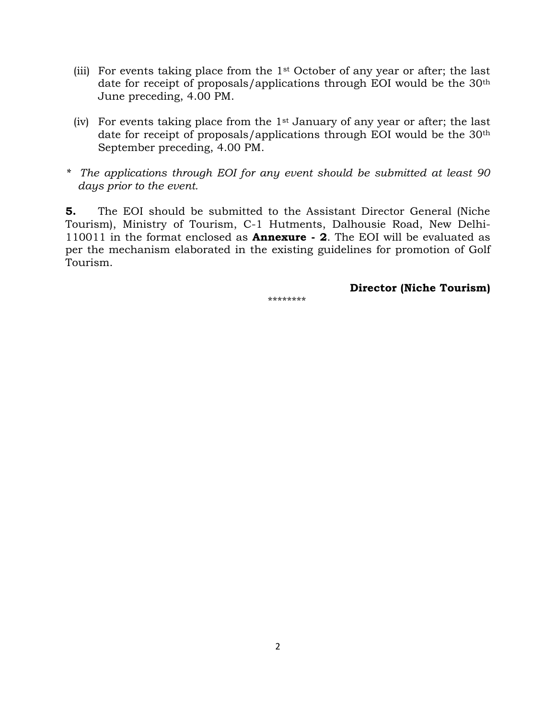- (iii) For events taking place from the  $1<sup>st</sup>$  October of any year or after; the last date for receipt of proposals/applications through EOI would be the 30th June preceding, 4.00 PM.
- (iv) For events taking place from the 1st January of any year or after; the last date for receipt of proposals/applications through EOI would be the 30th September preceding, 4.00 PM.
- *\* The applications through EOI for any event should be submitted at least 90 days prior to the event.*

**5.** The EOI should be submitted to the Assistant Director General (Niche Tourism), Ministry of Tourism, C-1 Hutments, Dalhousie Road, New Delhi-110011 in the format enclosed as **Annexure - 2**. The EOI will be evaluated as per the mechanism elaborated in the existing guidelines for promotion of Golf Tourism.

**Director (Niche Tourism)**

\*\*\*\*\*\*\*\*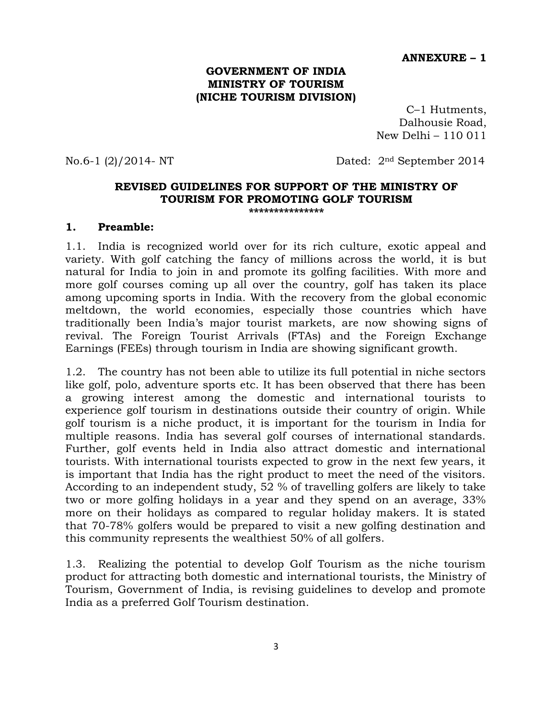#### **ANNEXURE – 1**

#### **GOVERNMENT OF INDIA MINISTRY OF TOURISM (NICHE TOURISM DIVISION)**

C–1 Hutments, Dalhousie Road, New Delhi – 110 011

No.6-1 (2)/2014- NT Dated: 2nd September 2014

#### **REVISED GUIDELINES FOR SUPPORT OF THE MINISTRY OF TOURISM FOR PROMOTING GOLF TOURISM \*\*\*\*\*\*\*\*\*\*\*\*\*\*\***

#### **1. Preamble:**

1.1. India is recognized world over for its rich culture, exotic appeal and variety. With golf catching the fancy of millions across the world, it is but natural for India to join in and promote its golfing facilities. With more and more golf courses coming up all over the country, golf has taken its place among upcoming sports in India. With the recovery from the global economic meltdown, the world economies, especially those countries which have traditionally been India's major tourist markets, are now showing signs of revival. The Foreign Tourist Arrivals (FTAs) and the Foreign Exchange Earnings (FEEs) through tourism in India are showing significant growth.

1.2. The country has not been able to utilize its full potential in niche sectors like golf, polo, adventure sports etc. It has been observed that there has been a growing interest among the domestic and international tourists to experience golf tourism in destinations outside their country of origin. While golf tourism is a niche product, it is important for the tourism in India for multiple reasons. India has several golf courses of international standards. Further, golf events held in India also attract domestic and international tourists. With international tourists expected to grow in the next few years, it is important that India has the right product to meet the need of the visitors. According to an independent study, 52 % of travelling golfers are likely to take two or more golfing holidays in a year and they spend on an average, 33% more on their holidays as compared to regular holiday makers. It is stated that 70-78% golfers would be prepared to visit a new golfing destination and this community represents the wealthiest 50% of all golfers.

1.3. Realizing the potential to develop Golf Tourism as the niche tourism product for attracting both domestic and international tourists, the Ministry of Tourism, Government of India, is revising guidelines to develop and promote India as a preferred Golf Tourism destination.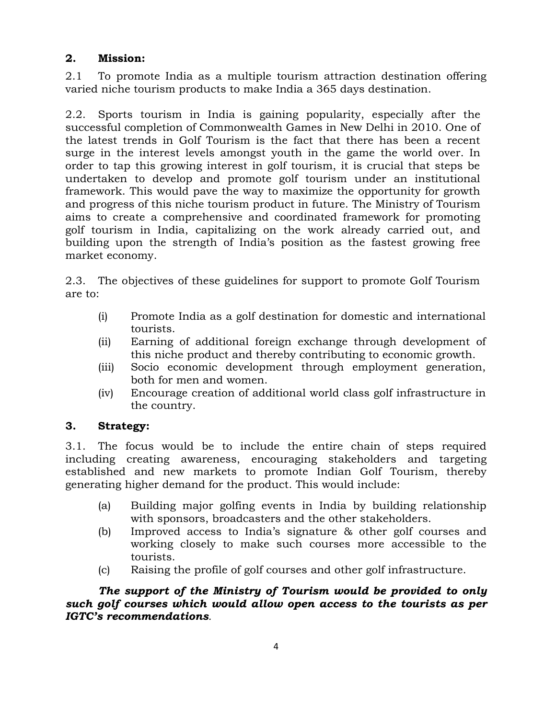### **2. Mission:**

2.1 To promote India as a multiple tourism attraction destination offering varied niche tourism products to make India a 365 days destination.

2.2. Sports tourism in India is gaining popularity, especially after the successful completion of Commonwealth Games in New Delhi in 2010. One of the latest trends in Golf Tourism is the fact that there has been a recent surge in the interest levels amongst youth in the game the world over. In order to tap this growing interest in golf tourism, it is crucial that steps be undertaken to develop and promote golf tourism under an institutional framework. This would pave the way to maximize the opportunity for growth and progress of this niche tourism product in future. The Ministry of Tourism aims to create a comprehensive and coordinated framework for promoting golf tourism in India, capitalizing on the work already carried out, and building upon the strength of India's position as the fastest growing free market economy.

2.3. The objectives of these guidelines for support to promote Golf Tourism are to:

- (i) Promote India as a golf destination for domestic and international tourists.
- (ii) Earning of additional foreign exchange through development of this niche product and thereby contributing to economic growth.
- (iii) Socio economic development through employment generation, both for men and women.
- (iv) Encourage creation of additional world class golf infrastructure in the country.

## **3. Strategy:**

3.1. The focus would be to include the entire chain of steps required including creating awareness, encouraging stakeholders and targeting established and new markets to promote Indian Golf Tourism, thereby generating higher demand for the product. This would include:

- (a) Building major golfing events in India by building relationship with sponsors, broadcasters and the other stakeholders.
- (b) Improved access to India's signature & other golf courses and working closely to make such courses more accessible to the tourists.
- (c) Raising the profile of golf courses and other golf infrastructure.

*The support of the Ministry of Tourism would be provided to only such golf courses which would allow open access to the tourists as per IGTC's recommendations.*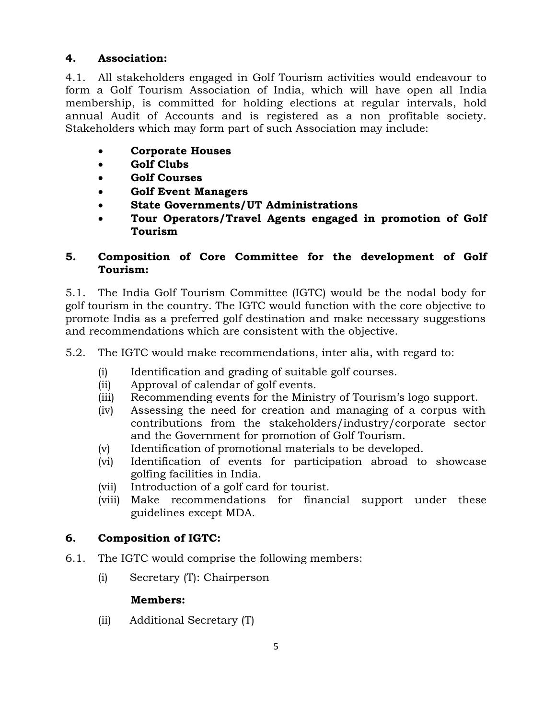# **4. Association:**

4.1. All stakeholders engaged in Golf Tourism activities would endeavour to form a Golf Tourism Association of India, which will have open all India membership, is committed for holding elections at regular intervals, hold annual Audit of Accounts and is registered as a non profitable society. Stakeholders which may form part of such Association may include:

- **Corporate Houses**
- **Golf Clubs**
- **Golf Courses**
- **Golf Event Managers**
- **State Governments/UT Administrations**
- **Tour Operators/Travel Agents engaged in promotion of Golf Tourism**

## **5. Composition of Core Committee for the development of Golf Tourism:**

5.1. The India Golf Tourism Committee (IGTC) would be the nodal body for golf tourism in the country. The IGTC would function with the core objective to promote India as a preferred golf destination and make necessary suggestions and recommendations which are consistent with the objective.

5.2. The IGTC would make recommendations, inter alia, with regard to:

- (i) Identification and grading of suitable golf courses.
- (ii) Approval of calendar of golf events.
- (iii) Recommending events for the Ministry of Tourism's logo support.
- (iv) Assessing the need for creation and managing of a corpus with contributions from the stakeholders/industry/corporate sector and the Government for promotion of Golf Tourism.
- (v) Identification of promotional materials to be developed.
- (vi) Identification of events for participation abroad to showcase golfing facilities in India.
- (vii) Introduction of a golf card for tourist.
- (viii) Make recommendations for financial support under these guidelines except MDA.

# **6. Composition of IGTC:**

- 6.1. The IGTC would comprise the following members:
	- (i) Secretary (T): Chairperson

## **Members:**

(ii) Additional Secretary (T)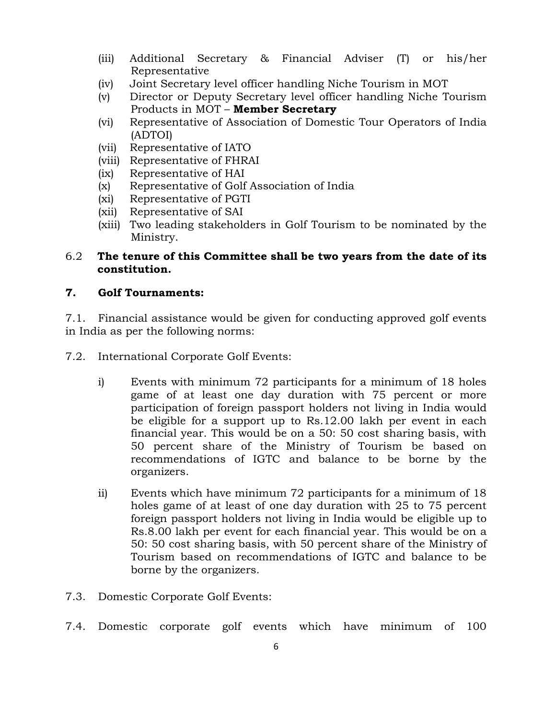- (iii) Additional Secretary & Financial Adviser (T) or his/her Representative
- (iv) Joint Secretary level officer handling Niche Tourism in MOT
- (v) Director or Deputy Secretary level officer handling Niche Tourism Products in MOT – **Member Secretary**
- (vi) Representative of Association of Domestic Tour Operators of India (ADTOI)
- (vii) Representative of IATO
- (viii) Representative of FHRAI
- (ix) Representative of HAI
- (x) Representative of Golf Association of India
- (xi) Representative of PGTI
- (xii) Representative of SAI
- (xiii) Two leading stakeholders in Golf Tourism to be nominated by the Ministry.

### 6.2 **The tenure of this Committee shall be two years from the date of its constitution.**

# **7. Golf Tournaments:**

7.1. Financial assistance would be given for conducting approved golf events in India as per the following norms:

- 7.2. International Corporate Golf Events:
	- i) Events with minimum 72 participants for a minimum of 18 holes game of at least one day duration with 75 percent or more participation of foreign passport holders not living in India would be eligible for a support up to Rs.12.00 lakh per event in each financial year. This would be on a 50: 50 cost sharing basis, with 50 percent share of the Ministry of Tourism be based on recommendations of IGTC and balance to be borne by the organizers.
	- ii) Events which have minimum 72 participants for a minimum of 18 holes game of at least of one day duration with 25 to 75 percent foreign passport holders not living in India would be eligible up to Rs.8.00 lakh per event for each financial year. This would be on a 50: 50 cost sharing basis, with 50 percent share of the Ministry of Tourism based on recommendations of IGTC and balance to be borne by the organizers.
- 7.3. Domestic Corporate Golf Events:
- 7.4. Domestic corporate golf events which have minimum of 100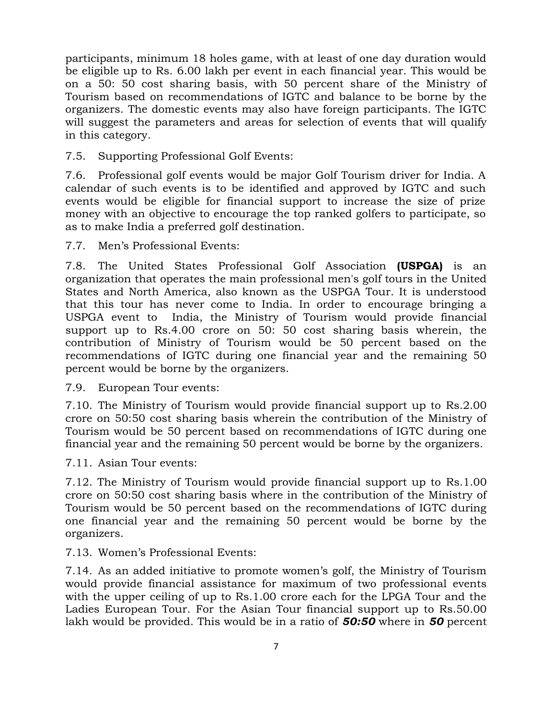participants, minimum 18 holes game, with at least of one day duration would be eligible up to Rs. 6.00 lakh per event in each financial year. This would be on a 50: 50 cost sharing basis, with 50 percent share of the Ministry of Tourism based on recommendations of IGTC and balance to be borne by the organizers. The domestic events may also have foreign participants. The IGTC will suggest the parameters and areas for selection of events that will qualify in this category.

### 7.5. Supporting Professional Golf Events:

7.6. Professional golf events would be major Golf Tourism driver for India. A calendar of such events is to be identified and approved by IGTC and such events would be eligible for financial support to increase the size of prize money with an objective to encourage the top ranked golfers to participate, so as to make India a preferred golf destination.

7.7. Men's Professional Events:

7.8. The United States Professional Golf Association **(USPGA)** is an organization that operates the main professional men's golf tours in the United States and North America, also known as the USPGA Tour. It is understood that this tour has never come to India. In order to encourage bringing a USPGA event to India, the Ministry of Tourism would provide financial support up to Rs.4.00 crore on 50: 50 cost sharing basis wherein, the contribution of Ministry of Tourism would be 50 percent based on the recommendations of IGTC during one financial year and the remaining 50 percent would be borne by the organizers.

7.9. European Tour events:

7.10. The Ministry of Tourism would provide financial support up to Rs.2.00 crore on 50:50 cost sharing basis wherein the contribution of the Ministry of Tourism would be 50 percent based on recommendations of IGTC during one financial year and the remaining 50 percent would be borne by the organizers.

7.11. Asian Tour events:

7.12. The Ministry of Tourism would provide financial support up to Rs.1.00 crore on 50:50 cost sharing basis where in the contribution of the Ministry of Tourism would be 50 percent based on the recommendations of IGTC during one financial year and the remaining 50 percent would be borne by the organizers.

7.13. Women's Professional Events:

7.14. As an added initiative to promote women's golf, the Ministry of Tourism would provide financial assistance for maximum of two professional events with the upper ceiling of up to Rs.1.00 crore each for the LPGA Tour and the Ladies European Tour. For the Asian Tour financial support up to Rs.50.00 lakh would be provided. This would be in a ratio of *50:50* where in *50* percent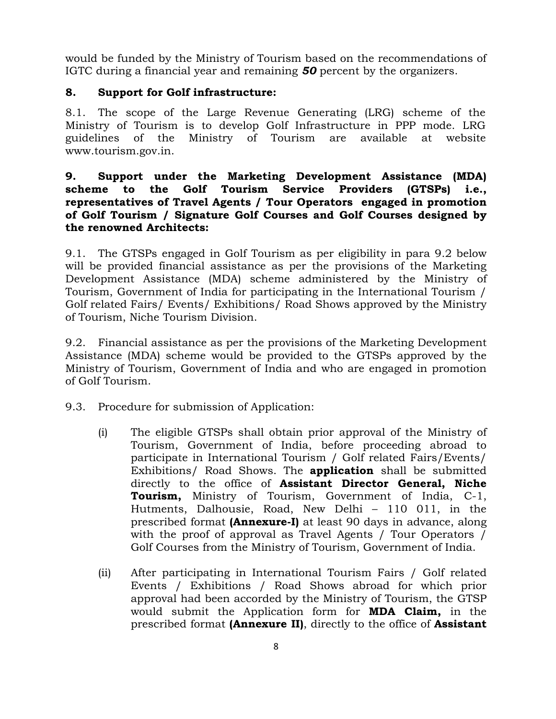would be funded by the Ministry of Tourism based on the recommendations of IGTC during a financial year and remaining *50* percent by the organizers.

### **8. Support for Golf infrastructure:**

8.1. The scope of the Large Revenue Generating (LRG) scheme of the Ministry of Tourism is to develop Golf Infrastructure in PPP mode. LRG guidelines of the Ministry of Tourism are available at website www.tourism.gov.in.

### **9. Support under the Marketing Development Assistance (MDA) scheme to the Golf Tourism Service Providers (GTSPs) i.e., representatives of Travel Agents / Tour Operators engaged in promotion of Golf Tourism / Signature Golf Courses and Golf Courses designed by the renowned Architects:**

9.1. The GTSPs engaged in Golf Tourism as per eligibility in para 9.2 below will be provided financial assistance as per the provisions of the Marketing Development Assistance (MDA) scheme administered by the Ministry of Tourism, Government of India for participating in the International Tourism / Golf related Fairs/ Events/ Exhibitions/ Road Shows approved by the Ministry of Tourism, Niche Tourism Division.

9.2. Financial assistance as per the provisions of the Marketing Development Assistance (MDA) scheme would be provided to the GTSPs approved by the Ministry of Tourism, Government of India and who are engaged in promotion of Golf Tourism.

9.3. Procedure for submission of Application:

- (i) The eligible GTSPs shall obtain prior approval of the Ministry of Tourism, Government of India, before proceeding abroad to participate in International Tourism / Golf related Fairs/Events/ Exhibitions/ Road Shows. The **application** shall be submitted directly to the office of **Assistant Director General, Niche Tourism,** Ministry of Tourism, Government of India, C-1, Hutments, Dalhousie, Road, New Delhi – 110 011, in the prescribed format **(Annexure-I)** at least 90 days in advance, along with the proof of approval as Travel Agents / Tour Operators / Golf Courses from the Ministry of Tourism, Government of India.
- (ii) After participating in International Tourism Fairs / Golf related Events / Exhibitions / Road Shows abroad for which prior approval had been accorded by the Ministry of Tourism, the GTSP would submit the Application form for **MDA Claim,** in the prescribed format **(Annexure II)**, directly to the office of **Assistant**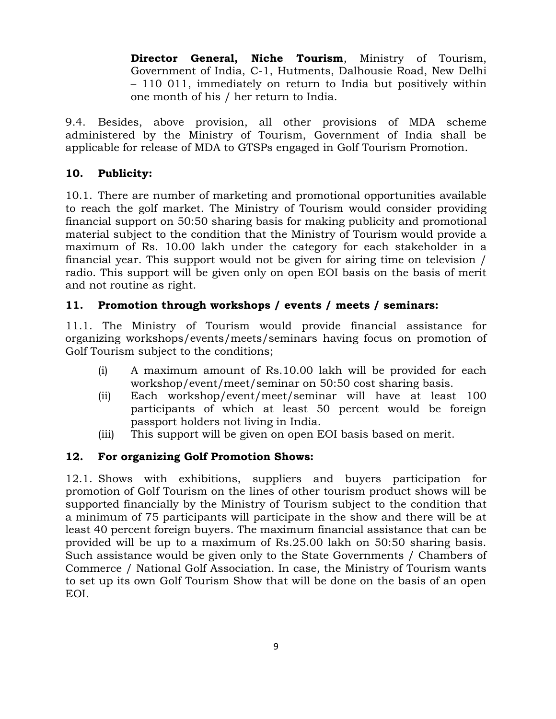**Director General, Niche Tourism**, Ministry of Tourism, Government of India, C-1, Hutments, Dalhousie Road, New Delhi – 110 011, immediately on return to India but positively within one month of his / her return to India.

9.4. Besides, above provision, all other provisions of MDA scheme administered by the Ministry of Tourism, Government of India shall be applicable for release of MDA to GTSPs engaged in Golf Tourism Promotion.

### **10. Publicity:**

10.1. There are number of marketing and promotional opportunities available to reach the golf market. The Ministry of Tourism would consider providing financial support on 50:50 sharing basis for making publicity and promotional material subject to the condition that the Ministry of Tourism would provide a maximum of Rs. 10.00 lakh under the category for each stakeholder in a financial year. This support would not be given for airing time on television / radio. This support will be given only on open EOI basis on the basis of merit and not routine as right.

### **11. Promotion through workshops / events / meets / seminars:**

11.1. The Ministry of Tourism would provide financial assistance for organizing workshops/events/meets/seminars having focus on promotion of Golf Tourism subject to the conditions;

- (i) A maximum amount of Rs.10.00 lakh will be provided for each workshop/event/meet/seminar on 50:50 cost sharing basis.
- (ii) Each workshop/event/meet/seminar will have at least 100 participants of which at least 50 percent would be foreign passport holders not living in India.
- (iii) This support will be given on open EOI basis based on merit.

## **12. For organizing Golf Promotion Shows:**

12.1. Shows with exhibitions, suppliers and buyers participation for promotion of Golf Tourism on the lines of other tourism product shows will be supported financially by the Ministry of Tourism subject to the condition that a minimum of 75 participants will participate in the show and there will be at least 40 percent foreign buyers. The maximum financial assistance that can be provided will be up to a maximum of Rs.25.00 lakh on 50:50 sharing basis. Such assistance would be given only to the State Governments / Chambers of Commerce / National Golf Association. In case, the Ministry of Tourism wants to set up its own Golf Tourism Show that will be done on the basis of an open EOI.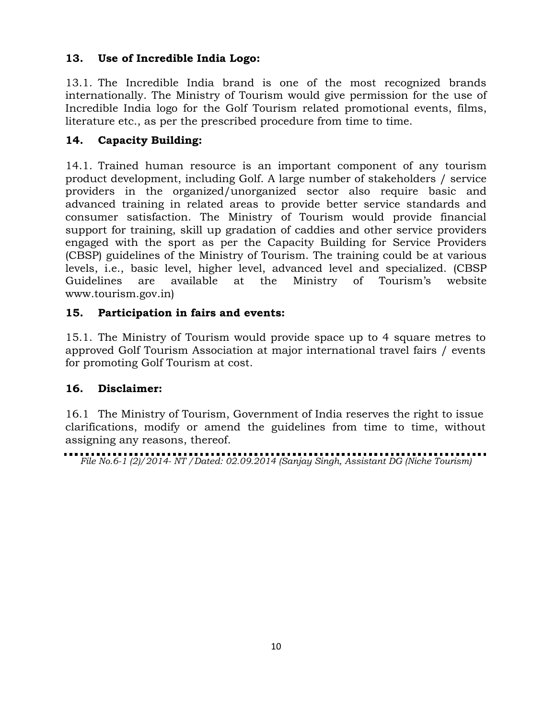## **13. Use of Incredible India Logo:**

13.1. The Incredible India brand is one of the most recognized brands internationally. The Ministry of Tourism would give permission for the use of Incredible India logo for the Golf Tourism related promotional events, films, literature etc., as per the prescribed procedure from time to time.

# **14. Capacity Building:**

14.1. Trained human resource is an important component of any tourism product development, including Golf. A large number of stakeholders / service providers in the organized/unorganized sector also require basic and advanced training in related areas to provide better service standards and consumer satisfaction. The Ministry of Tourism would provide financial support for training, skill up gradation of caddies and other service providers engaged with the sport as per the Capacity Building for Service Providers (CBSP) guidelines of the Ministry of Tourism. The training could be at various levels, i.e., basic level, higher level, advanced level and specialized. (CBSP Guidelines are available at the Ministry of Tourism's website www.tourism.gov.in)

## **15. Participation in fairs and events:**

15.1. The Ministry of Tourism would provide space up to 4 square metres to approved Golf Tourism Association at major international travel fairs / events for promoting Golf Tourism at cost.

# **16. Disclaimer:**

16.1 The Ministry of Tourism, Government of India reserves the right to issue clarifications, modify or amend the guidelines from time to time, without assigning any reasons, thereof.

*File No.6-1 (2)/2014- NT /Dated: 02.09.2014 (Sanjay Singh, Assistant DG (Niche Tourism)*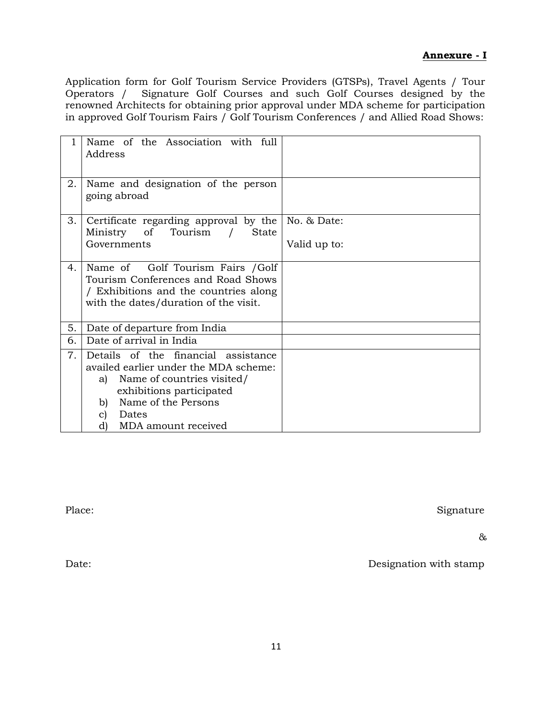#### **Annexure - I**

Application form for Golf Tourism Service Providers (GTSPs), Travel Agents / Tour Signature Golf Courses and such Golf Courses designed by the renowned Architects for obtaining prior approval under MDA scheme for participation in approved Golf Tourism Fairs / Golf Tourism Conferences / and Allied Road Shows:

|    | Name of the Association with full<br>Address                                                                                                                                                                          |              |
|----|-----------------------------------------------------------------------------------------------------------------------------------------------------------------------------------------------------------------------|--------------|
| 2. | Name and designation of the person<br>going abroad                                                                                                                                                                    |              |
| 3. | Certificate regarding approval by the<br>Ministry of Tourism<br><b>State</b>                                                                                                                                          | No. & Date:  |
|    | Governments                                                                                                                                                                                                           | Valid up to: |
| 4. | Name of Golf Tourism Fairs / Golf<br>Tourism Conferences and Road Shows<br>/ Exhibitions and the countries along<br>with the dates/duration of the visit.                                                             |              |
| 5. | Date of departure from India                                                                                                                                                                                          |              |
| 6. | Date of arrival in India                                                                                                                                                                                              |              |
| 7. | Details of the financial assistance<br>availed earlier under the MDA scheme:<br>Name of countries visited/<br>a)<br>exhibitions participated<br>Name of the Persons<br>b)<br>Dates<br>c)<br>MDA amount received<br>d) |              |

Place: Signature

&

Date: Designation with stamp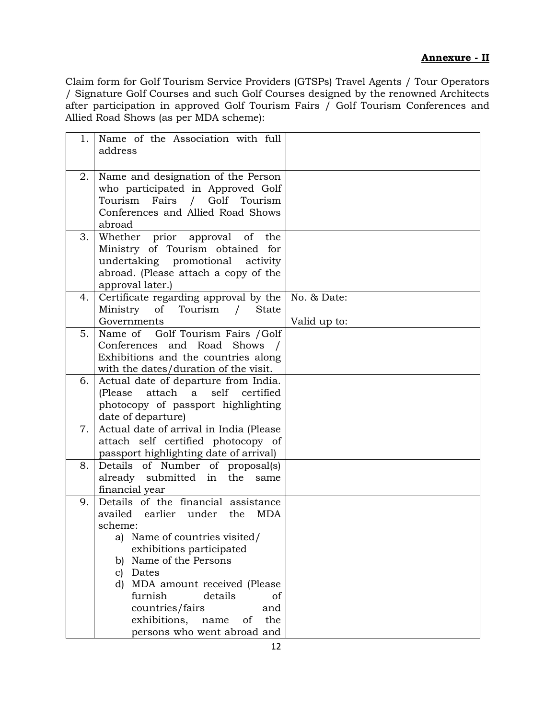#### **Annexure - II**

Claim form for Golf Tourism Service Providers (GTSPs) Travel Agents / Tour Operators / Signature Golf Courses and such Golf Courses designed by the renowned Architects after participation in approved Golf Tourism Fairs  $\overline{C}$  Golf Tourism Conferences and Allied Road Shows (as per MDA scheme):

| 1. | Name of the Association with full<br>address                                                                                                                                                                                                                                                                                                                      |                             |
|----|-------------------------------------------------------------------------------------------------------------------------------------------------------------------------------------------------------------------------------------------------------------------------------------------------------------------------------------------------------------------|-----------------------------|
| 2. | Name and designation of the Person<br>who participated in Approved Golf<br>Tourism Fairs / Golf Tourism<br>Conferences and Allied Road Shows<br>abroad                                                                                                                                                                                                            |                             |
| 3. | Whether prior approval of<br>the<br>Ministry of Tourism obtained for<br>undertaking promotional activity<br>abroad. (Please attach a copy of the<br>approval later.)                                                                                                                                                                                              |                             |
| 4. | Certificate regarding approval by the<br>Ministry of Tourism /<br><b>State</b><br>Governments                                                                                                                                                                                                                                                                     | No. & Date:<br>Valid up to: |
| 5. | Name of Golf Tourism Fairs / Golf<br>Conferences and Road Shows /<br>Exhibitions and the countries along<br>with the dates/duration of the visit.                                                                                                                                                                                                                 |                             |
| 6. | Actual date of departure from India.<br>self<br>(Please)<br>attach<br>a<br>certified<br>photocopy of passport highlighting<br>date of departure)                                                                                                                                                                                                                  |                             |
| 7. | Actual date of arrival in India (Please<br>attach self certified photocopy of<br>passport highlighting date of arrival)                                                                                                                                                                                                                                           |                             |
| 8. | Details of Number of proposal(s)<br>already submitted in the same<br>financial year                                                                                                                                                                                                                                                                               |                             |
| 9. | Details of the financial assistance<br>availed<br>earlier under<br>the<br><b>MDA</b><br>scheme:<br>a) Name of countries visited/<br>exhibitions participated<br>b) Name of the Persons<br>Dates<br>C)<br>d) MDA amount received (Please<br>furnish<br>details<br>οf<br>countries/fairs<br>and<br>exhibitions,<br>the<br>name<br>οf<br>persons who went abroad and |                             |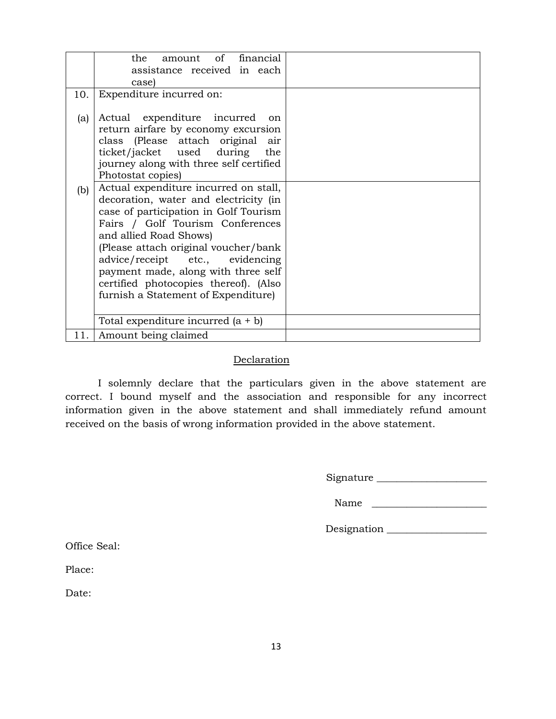|      | amount of financial<br>the                                                                                                                                                                                                                                                                                                                                                              |  |
|------|-----------------------------------------------------------------------------------------------------------------------------------------------------------------------------------------------------------------------------------------------------------------------------------------------------------------------------------------------------------------------------------------|--|
|      | assistance received in each                                                                                                                                                                                                                                                                                                                                                             |  |
|      | case)                                                                                                                                                                                                                                                                                                                                                                                   |  |
| 10.  | Expenditure incurred on:                                                                                                                                                                                                                                                                                                                                                                |  |
| (a)  | Actual expenditure incurred<br><sub>on</sub><br>return airfare by economy excursion<br>class (Please attach original air<br>ticket/jacket used during<br>the<br>journey along with three self certified<br>Photostat copies)                                                                                                                                                            |  |
| (b)  | Actual expenditure incurred on stall,<br>decoration, water and electricity (in<br>case of participation in Golf Tourism<br>Fairs / Golf Tourism Conferences<br>and allied Road Shows)<br>(Please attach original voucher/bank<br>advice/receipt etc., evidencing<br>payment made, along with three self<br>certified photocopies thereof). (Also<br>furnish a Statement of Expenditure) |  |
|      | Total expenditure incurred $(a + b)$                                                                                                                                                                                                                                                                                                                                                    |  |
| 11.1 | Amount being claimed                                                                                                                                                                                                                                                                                                                                                                    |  |

#### Declaration

I solemnly declare that the particulars given in the above statement are correct. I bound myself and the association and responsible for any incorrect information given in the above statement and shall immediately refund amount received on the basis of wrong information provided in the above statement.

Signature \_\_\_\_\_\_\_\_\_\_\_\_\_\_\_\_\_\_\_\_\_\_

Name \_\_\_\_\_\_\_\_\_\_\_\_\_\_\_\_\_\_\_\_\_\_\_

Designation \_\_\_\_\_\_\_\_\_\_\_\_\_\_\_\_\_\_\_\_

Office Seal:

Place:

Date: